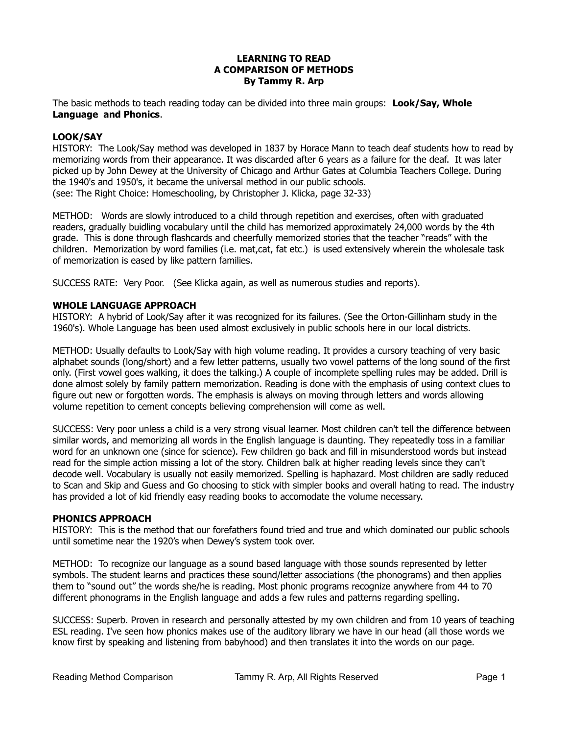# **LEARNING TO READ A COMPARISON OF METHODS By Tammy R. Arp**

The basic methods to teach reading today can be divided into three main groups: **Look/Say, Whole Language and Phonics**.

# **LOOK/SAY**

HISTORY: The Look/Say method was developed in 1837 by Horace Mann to teach deaf students how to read by memorizing words from their appearance. It was discarded after 6 years as a failure for the deaf. It was later picked up by John Dewey at the University of Chicago and Arthur Gates at Columbia Teachers College. During the 1940's and 1950's, it became the universal method in our public schools. (see: The Right Choice: Homeschooling, by Christopher J. Klicka, page 32-33)

METHOD: Words are slowly introduced to a child through repetition and exercises, often with graduated readers, gradually buidling vocabulary until the child has memorized approximately 24,000 words by the 4th grade. This is done through flashcards and cheerfully memorized stories that the teacher "reads" with the children. Memorization by word families (i.e. mat,cat, fat etc.) is used extensively wherein the wholesale task of memorization is eased by like pattern families.

SUCCESS RATE: Very Poor. (See Klicka again, as well as numerous studies and reports).

### **WHOLE LANGUAGE APPROACH**

HISTORY: A hybrid of Look/Say after it was recognized for its failures. (See the Orton-Gillinham study in the 1960's). Whole Language has been used almost exclusively in public schools here in our local districts.

METHOD: Usually defaults to Look/Say with high volume reading. It provides a cursory teaching of very basic alphabet sounds (long/short) and a few letter patterns, usually two vowel patterns of the long sound of the first only. (First vowel goes walking, it does the talking.) A couple of incomplete spelling rules may be added. Drill is done almost solely by family pattern memorization. Reading is done with the emphasis of using context clues to figure out new or forgotten words. The emphasis is always on moving through letters and words allowing volume repetition to cement concepts believing comprehension will come as well.

SUCCESS: Very poor unless a child is a very strong visual learner. Most children can't tell the difference between similar words, and memorizing all words in the English language is daunting. They repeatedly toss in a familiar word for an unknown one (since for science). Few children go back and fill in misunderstood words but instead read for the simple action missing a lot of the story. Children balk at higher reading levels since they can't decode well. Vocabulary is usually not easily memorized. Spelling is haphazard. Most children are sadly reduced to Scan and Skip and Guess and Go choosing to stick with simpler books and overall hating to read. The industry has provided a lot of kid friendly easy reading books to accomodate the volume necessary.

#### **PHONICS APPROACH**

HISTORY: This is the method that our forefathers found tried and true and which dominated our public schools until sometime near the 1920's when Dewey's system took over.

METHOD: To recognize our language as a sound based language with those sounds represented by letter symbols. The student learns and practices these sound/letter associations (the phonograms) and then applies them to "sound out" the words she/he is reading. Most phonic programs recognize anywhere from 44 to 70 different phonograms in the English language and adds a few rules and patterns regarding spelling.

SUCCESS: Superb. Proven in research and personally attested by my own children and from 10 years of teaching ESL reading. I've seen how phonics makes use of the auditory library we have in our head (all those words we know first by speaking and listening from babyhood) and then translates it into the words on our page.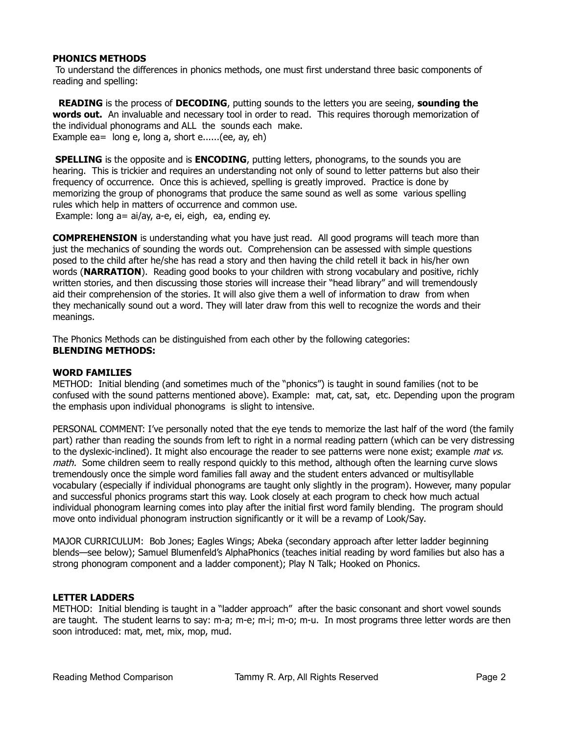# **PHONICS METHODS**

 To understand the differences in phonics methods, one must first understand three basic components of reading and spelling:

 **READING** is the process of **DECODING**, putting sounds to the letters you are seeing, **sounding the words out.** An invaluable and necessary tool in order to read. This requires thorough memorization of the individual phonograms and ALL the sounds each make. Example ea= long e, long a, short e......(ee, ay, eh)

**SPELLING** is the opposite and is **ENCODING**, putting letters, phonograms, to the sounds you are hearing. This is trickier and requires an understanding not only of sound to letter patterns but also their frequency of occurrence. Once this is achieved, spelling is greatly improved. Practice is done by memorizing the group of phonograms that produce the same sound as well as some various spelling rules which help in matters of occurrence and common use. Example: long a= ai/ay, a-e, ei, eigh, ea, ending ey.

**COMPREHENSION** is understanding what you have just read. All good programs will teach more than just the mechanics of sounding the words out. Comprehension can be assessed with simple questions posed to the child after he/she has read a story and then having the child retell it back in his/her own words (**NARRATION**). Reading good books to your children with strong vocabulary and positive, richly written stories, and then discussing those stories will increase their "head library" and will tremendously aid their comprehension of the stories. It will also give them a well of information to draw from when they mechanically sound out a word. They will later draw from this well to recognize the words and their meanings.

The Phonics Methods can be distinguished from each other by the following categories: **BLENDING METHODS:**

#### **WORD FAMILIES**

METHOD: Initial blending (and sometimes much of the "phonics") is taught in sound families (not to be confused with the sound patterns mentioned above). Example: mat, cat, sat, etc. Depending upon the program the emphasis upon individual phonograms is slight to intensive.

PERSONAL COMMENT: I've personally noted that the eye tends to memorize the last half of the word (the family part) rather than reading the sounds from left to right in a normal reading pattern (which can be very distressing to the dyslexic-inclined). It might also encourage the reader to see patterns were none exist; example *mat vs.* math. Some children seem to really respond quickly to this method, although often the learning curve slows tremendously once the simple word families fall away and the student enters advanced or multisyllable vocabulary (especially if individual phonograms are taught only slightly in the program). However, many popular and successful phonics programs start this way. Look closely at each program to check how much actual individual phonogram learning comes into play after the initial first word family blending. The program should move onto individual phonogram instruction significantly or it will be a revamp of Look/Say.

MAJOR CURRICULUM: Bob Jones; Eagles Wings; Abeka (secondary approach after letter ladder beginning blends—see below); Samuel Blumenfeld's AlphaPhonics (teaches initial reading by word families but also has a strong phonogram component and a ladder component); Play N Talk; Hooked on Phonics.

# **LETTER LADDERS**

METHOD: Initial blending is taught in a "ladder approach" after the basic consonant and short vowel sounds are taught. The student learns to say: m-a; m-e; m-i; m-o; m-u. In most programs three letter words are then soon introduced: mat, met, mix, mop, mud.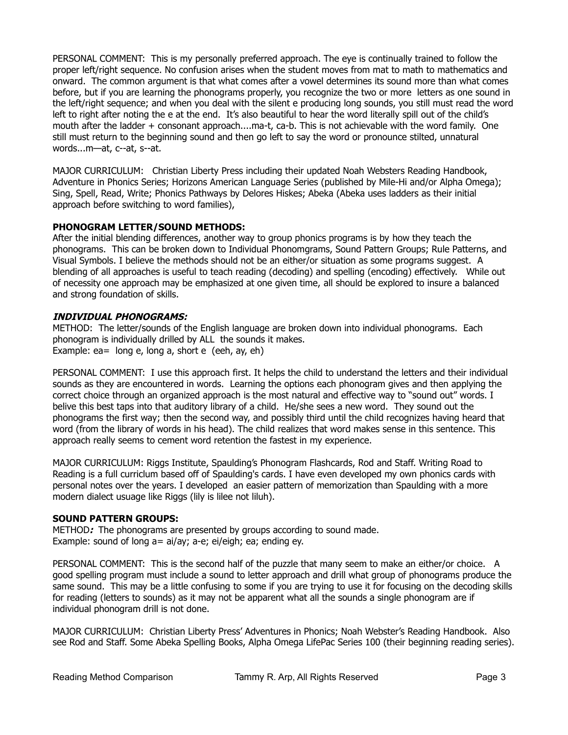PERSONAL COMMENT: This is my personally preferred approach. The eye is continually trained to follow the proper left/right sequence. No confusion arises when the student moves from mat to math to mathematics and onward. The common argument is that what comes after a vowel determines its sound more than what comes before, but if you are learning the phonograms properly, you recognize the two or more letters as one sound in the left/right sequence; and when you deal with the silent e producing long sounds, you still must read the word left to right after noting the e at the end. It's also beautiful to hear the word literally spill out of the child's mouth after the ladder + consonant approach....ma-t, ca-b. This is not achievable with the word family. One still must return to the beginning sound and then go left to say the word or pronounce stilted, unnatural words...m—at, c--at, s--at.

MAJOR CURRICULUM: Christian Liberty Press including their updated Noah Websters Reading Handbook, Adventure in Phonics Series; Horizons American Language Series (published by Mile-Hi and/or Alpha Omega); Sing, Spell, Read, Write; Phonics Pathways by Delores Hiskes; Abeka (Abeka uses ladders as their initial approach before switching to word families),

# **PHONOGRAM LETTER/SOUND METHODS:**

After the initial blending differences, another way to group phonics programs is by how they teach the phonograms. This can be broken down to Individual Phonomgrams, Sound Pattern Groups; Rule Patterns, and Visual Symbols. I believe the methods should not be an either/or situation as some programs suggest. A blending of all approaches is useful to teach reading (decoding) and spelling (encoding) effectively. While out of necessity one approach may be emphasized at one given time, all should be explored to insure a balanced and strong foundation of skills.

# **INDIVIDUAL PHONOGRAMS:**

METHOD: The letter/sounds of the English language are broken down into individual phonograms. Each phonogram is individually drilled by ALL the sounds it makes. Example:  $ea=$  long e, long a, short e (eeh, ay, eh)

PERSONAL COMMENT: I use this approach first. It helps the child to understand the letters and their individual sounds as they are encountered in words. Learning the options each phonogram gives and then applying the correct choice through an organized approach is the most natural and effective way to "sound out" words. I belive this best taps into that auditory library of a child. He/she sees a new word. They sound out the phonograms the first way; then the second way, and possibly third until the child recognizes having heard that word (from the library of words in his head). The child realizes that word makes sense in this sentence. This approach really seems to cement word retention the fastest in my experience.

MAJOR CURRICULUM: Riggs Institute, Spaulding's Phonogram Flashcards, Rod and Staff. Writing Road to Reading is a full curriclum based off of Spaulding's cards. I have even developed my own phonics cards with personal notes over the years. I developed an easier pattern of memorization than Spaulding with a more modern dialect usuage like Riggs (lily is lilee not liluh).

# **SOUND PATTERN GROUPS:**

METHOD**:** The phonograms are presented by groups according to sound made. Example: sound of long a= ai/ay; a-e; ei/eigh; ea; ending ey.

PERSONAL COMMENT: This is the second half of the puzzle that many seem to make an either/or choice. A good spelling program must include a sound to letter approach and drill what group of phonograms produce the same sound. This may be a little confusing to some if you are trying to use it for focusing on the decoding skills for reading (letters to sounds) as it may not be apparent what all the sounds a single phonogram are if individual phonogram drill is not done.

MAJOR CURRICULUM: Christian Liberty Press' Adventures in Phonics; Noah Webster's Reading Handbook. Also see Rod and Staff. Some Abeka Spelling Books, Alpha Omega LifePac Series 100 (their beginning reading series).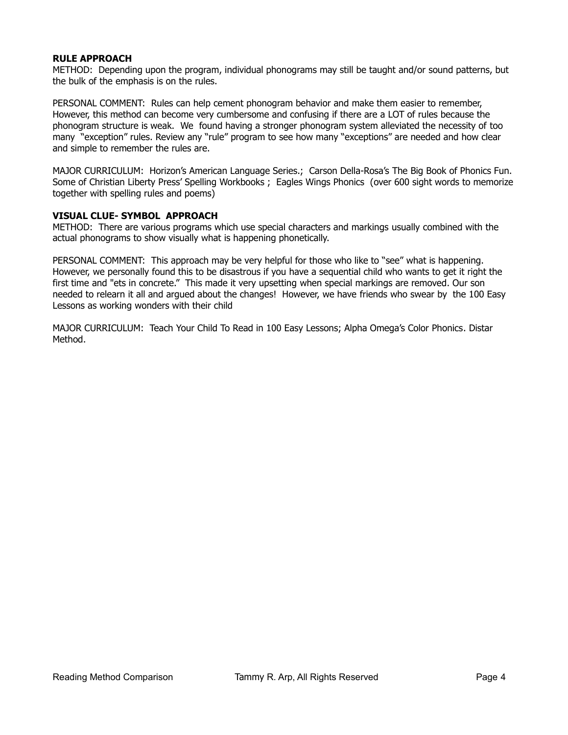### **RULE APPROACH**

METHOD: Depending upon the program, individual phonograms may still be taught and/or sound patterns, but the bulk of the emphasis is on the rules.

PERSONAL COMMENT: Rules can help cement phonogram behavior and make them easier to remember, However, this method can become very cumbersome and confusing if there are a LOT of rules because the phonogram structure is weak. We found having a stronger phonogram system alleviated the necessity of too many "exception" rules. Review any "rule" program to see how many "exceptions" are needed and how clear and simple to remember the rules are.

MAJOR CURRICULUM: Horizon's American Language Series.; Carson Della-Rosa's The Big Book of Phonics Fun. Some of Christian Liberty Press' Spelling Workbooks ; Eagles Wings Phonics (over 600 sight words to memorize together with spelling rules and poems)

### **VISUAL CLUE- SYMBOL APPROACH**

METHOD: There are various programs which use special characters and markings usually combined with the actual phonograms to show visually what is happening phonetically.

PERSONAL COMMENT: This approach may be very helpful for those who like to "see" what is happening. However, we personally found this to be disastrous if you have a sequential child who wants to get it right the first time and "ets in concrete." This made it very upsetting when special markings are removed. Our son needed to relearn it all and argued about the changes! However, we have friends who swear by the 100 Easy Lessons as working wonders with their child

MAJOR CURRICULUM: Teach Your Child To Read in 100 Easy Lessons; Alpha Omega's Color Phonics. Distar Method.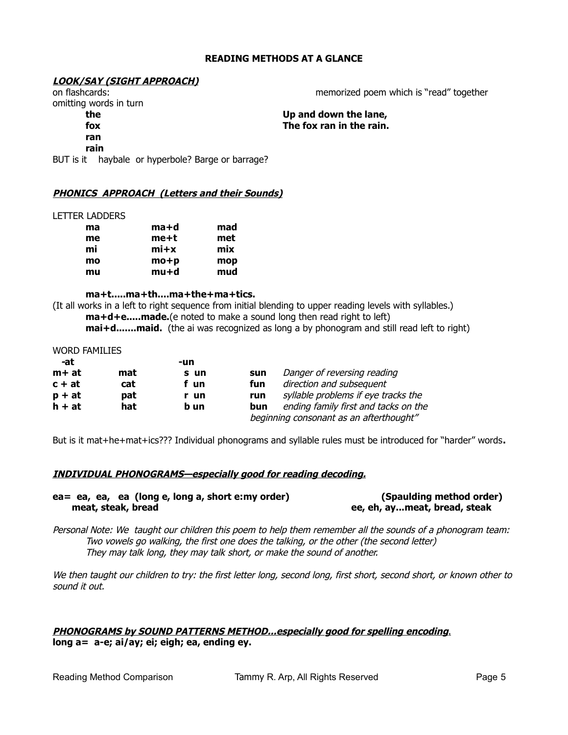# **READING METHODS AT A GLANCE**

# **LOOK/SAY (SIGHT APPROACH)**

omitting words in turn

**ran**

**rain**

BUT is it haybale or hyperbole? Barge or barrage?

# **PHONICS APPROACH (Letters and their Sounds)**

LETTER LADDERS

| ma | ma+d       | mad |
|----|------------|-----|
| me | me+t       | met |
| mi | $m$ i $+x$ | mix |
| mo | $mo+p$     | mop |
| mu | mu+d       | mud |

**ma+t.....ma+th....ma+the+ma+tics.** 

(It all works in a left to right sequence from initial blending to upper reading levels with syllables.) **ma+d+e.....made.**(e noted to make a sound long then read right to left) **mai+d.......maid.** (the ai was recognized as long a by phonogram and still read left to right)

#### WORD FAMILIES

| -at      |     | -un  |                                         |                                      |
|----------|-----|------|-----------------------------------------|--------------------------------------|
| m+ at    | mat | s un | sun                                     | Danger of reversing reading          |
| $c + at$ | cat | f un | fun                                     | direction and subsequent             |
| $p + at$ | pat | r un | run                                     | syllable problems if eye tracks the  |
| $h + at$ | hat | b un | bun                                     | ending family first and tacks on the |
|          |     |      | beginning consonant as an afterthought" |                                      |

But is it mat+he+mat+ics??? Individual phonograms and syllable rules must be introduced for "harder" words**.**

### **INDIVIDUAL PHONOGRAMS— especially good for reading decoding.**

| ea = ea, ea, ea (long e, long a, short e: my order) | (Spaulding method order)     |
|-----------------------------------------------------|------------------------------|
| meat, steak, bread                                  | ee, eh, aymeat, bread, steak |

Personal Note: We taught our children this poem to help them remember all the sounds of a phonogram team: Two vowels go walking, the first one does the talking, or the other (the second letter) They may talk long, they may talk short, or make the sound of another.

We then taught our children to try: the first letter long, second long, first short, second short, or known other to sound it out.

# **PHONOGRAMS by SOUND PATTERNS METHOD... especially good for spelling encoding**. **long a= a-e; ai/ay; ei; eigh; ea, ending ey.**

on flashcards: memorized poem which is "read" together

**the Up and down the lane, fox The fox ran in the rain.**